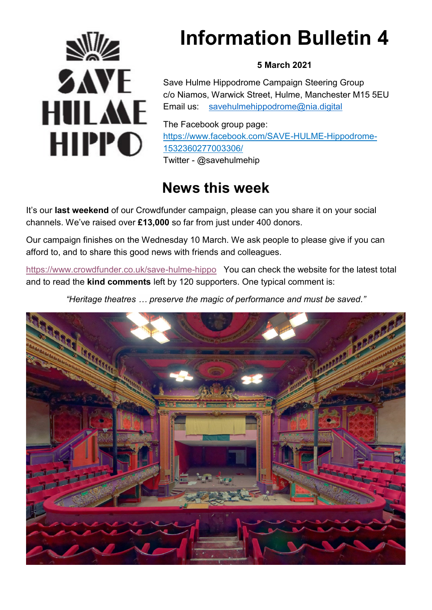

# **Information Bulletin 4**

### **5 March 2021**

Save Hulme Hippodrome Campaign Steering Group c/o Niamos, Warwick Street, Hulme, Manchester M15 5EU Email us: [savehulmehippodrome@nia.digital](mailto:savehulmehippodrome@nia.digital)

The Facebook group page: [https://www.facebook.com/SAVE-HULME-Hippodrome-](https://www.facebook.com/SAVE-HULME-Hippodrome-1532360277003306/)[1532360277003306/](https://www.facebook.com/SAVE-HULME-Hippodrome-1532360277003306/)  Twitter - @savehulmehip

## **News this week**

It's our **last weekend** of our Crowdfunder campaign, please can you share it on your social channels. We've raised over **£13,000** so far from just under 400 donors.

Our campaign finishes on the Wednesday 10 March. We ask people to please give if you can afford to, and to share this good news with friends and colleagues.

<https://www.crowdfunder.co.uk/save-hulme-hippo> You can check the website for the latest total and to read the **kind comments** left by 120 supporters. One typical comment is:

*"Heritage theatres … preserve the magic of performance and must be saved."*